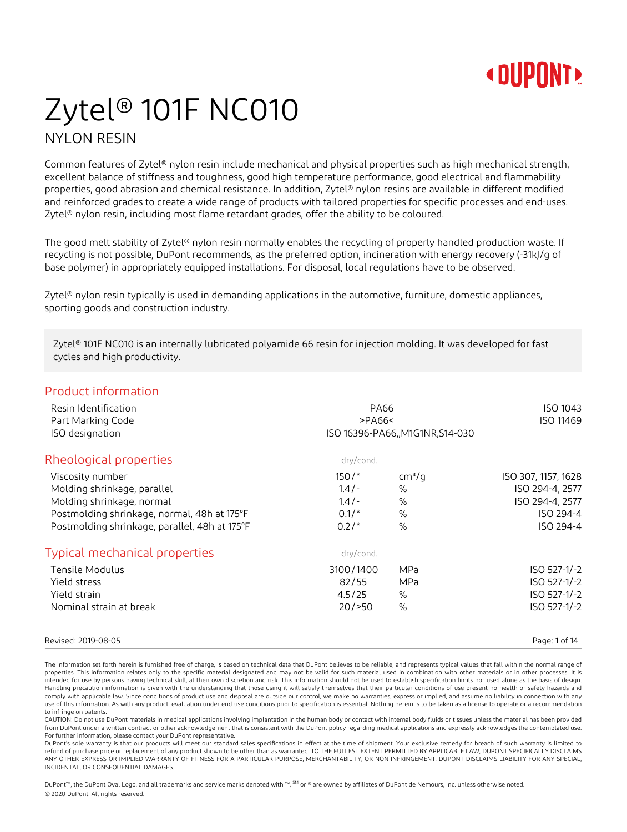## Zytel® 101F NC010 NYLON RESIN

Common features of Zytel® nylon resin include mechanical and physical properties such as high mechanical strength, excellent balance of stiffness and toughness, good high temperature performance, good electrical and flammability properties, good abrasion and chemical resistance. In addition, Zytel® nylon resins are available in different modified and reinforced grades to create a wide range of products with tailored properties for specific processes and end-uses. Zytel® nylon resin, including most flame retardant grades, offer the ability to be coloured.

The good melt stability of Zytel® nylon resin normally enables the recycling of properly handled production waste. If recycling is not possible, DuPont recommends, as the preferred option, incineration with energy recovery (-31kJ/g of base polymer) in appropriately equipped installations. For disposal, local regulations have to be observed.

Zytel® nylon resin typically is used in demanding applications in the automotive, furniture, domestic appliances, sporting goods and construction industry.

Zytel® 101F NC010 is an internally lubricated polyamide 66 resin for injection molding. It was developed for fast cycles and high productivity.

### Product information

| Resin Identification<br>Part Marking Code<br>ISO designation | <b>PA66</b><br>>PAG6<<br>ISO 16396-PA66, M1G1NR, S14-030 |                    | ISO 1043<br>ISO 11469 |
|--------------------------------------------------------------|----------------------------------------------------------|--------------------|-----------------------|
| Rheological properties                                       | dry/cond.                                                |                    |                       |
| Viscosity number                                             | $150/$ *                                                 | cm <sup>3</sup> /q | ISO 307, 1157, 1628   |
| Molding shrinkage, parallel                                  | $1.4/-$                                                  | $\%$               | ISO 294-4, 2577       |
| Molding shrinkage, normal                                    | $1.4/-$                                                  | %                  | ISO 294-4, 2577       |
| Postmolding shrinkage, normal, 48h at 175°F                  | $0.1/*$                                                  | $\%$               | ISO 294-4             |
| Postmolding shrinkage, parallel, 48h at 175°F                | $0.2/*$                                                  | $\frac{0}{0}$      | ISO 294-4             |
| <b>Typical mechanical properties</b>                         | dry/cond.                                                |                    |                       |
| Tensile Modulus                                              | 3100/1400                                                | <b>MPa</b>         | ISO 527-1/-2          |
| Yield stress                                                 | 82/55                                                    | <b>MPa</b>         | ISO 527-1/-2          |
| Yield strain                                                 | 4.5/25                                                   | $\%$               | ISO 527-1/-2          |
| Nominal strain at break                                      | 20/>50                                                   | $\%$               | ISO 527-1/-2          |
|                                                              |                                                          |                    |                       |

#### Revised: 2019-08-05 Page: 1 of 14

The information set forth herein is furnished free of charge, is based on technical data that DuPont believes to be reliable, and represents typical values that fall within the normal range of properties. This information relates only to the specific material designated and may not be valid for such material used in combination with other materials or in other processes. It is intended for use by persons having technical skill, at their own discretion and risk. This information should not be used to establish specification limits nor used alone as the basis of design. Handling precaution information is given with the understanding that those using it will satisfy themselves that their particular conditions of use present no health or safety hazards and comply with applicable law. Since conditions of product use and disposal are outside our control, we make no warranties, express or implied, and assume no liability in connection with any use of this information. As with any product, evaluation under end-use conditions prior to specification is essential. Nothing herein is to be taken as a license to operate or a recommendation to infringe on patents

CAUTION: Do not use DuPont materials in medical applications involving implantation in the human body or contact with internal body fluids or tissues unless the material has been provided from DuPont under a written contract or other acknowledgement that is consistent with the DuPont policy regarding medical applications and expressly acknowledges the contemplated use. For further information, please contact your DuPont representative.

DuPont's sole warranty is that our products will meet our standard sales specifications in effect at the time of shipment. Your exclusive remedy for breach of such warranty is limited to refund of purchase price or replacement of any product shown to be other than as warranted. TO THE FULLEST EXTENT PERMITTED BY APPLICABLE LAW, DUPONT SPECIFICALLY DISCLAIMS ANY OTHER EXPRESS OR IMPLIED WARRANTY OF FITNESS FOR A PARTICULAR PURPOSE, MERCHANTABILITY, OR NON-INFRINGEMENT. DUPONT DISCLAIMS LIABILITY FOR ANY SPECIAL, INCIDENTAL, OR CONSEQUENTIAL DAMAGES.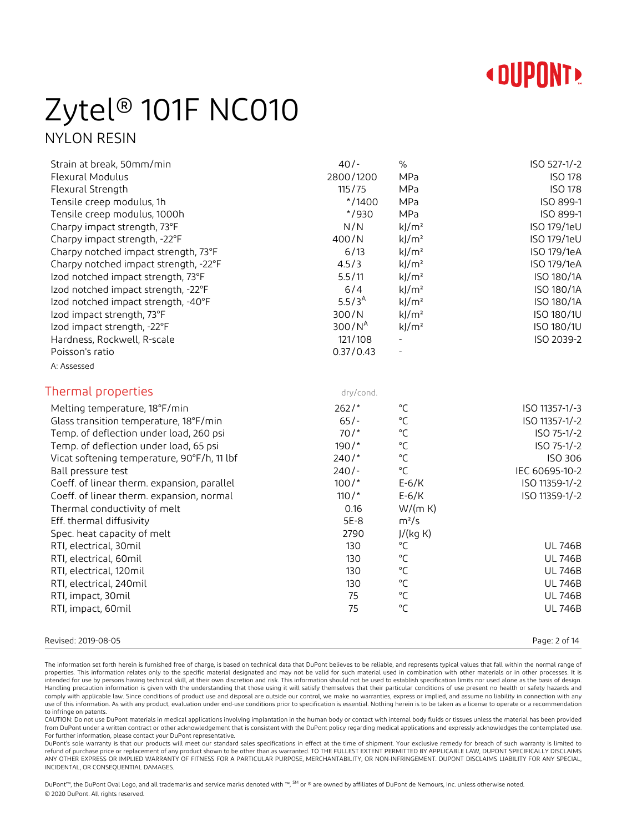

## Zytel® 101F NC010 NYLON RESIN

| Strain at break, 50mm/min<br>Flexural Modulus<br>Flexural Strength<br>Tensile creep modulus, 1h<br>Tensile creep modulus, 1000h<br>Charpy impact strength, 73°F<br>Charpy impact strength, -22°F<br>Charpy notched impact strength, 73°F<br>Charpy notched impact strength, -22°F<br>Izod notched impact strength, 73°F<br>Izod notched impact strength, -22°F<br>Izod notched impact strength, -40°F<br>Izod impact strength, 73°F<br>Izod impact strength, -22°F<br>Hardness, Rockwell, R-scale<br>Poisson's ratio<br>A: Assessed | $40/-$<br>2800/1200<br>115/75<br>$* / 1400$<br>$*$ /930<br>N/N<br>400/N<br>6/13<br>4.5/3<br>5.5/11<br>6/4<br>$5.5/3^{A}$<br>300/N<br>300/N <sup>A</sup><br>121/108<br>0.37/0.43 | $\%$<br>MPa<br>MPa<br>MPa<br>MPa<br>$k$ /m <sup>2</sup><br>$k$ /m <sup>2</sup><br>$k$ /m <sup>2</sup><br>$k$ /m <sup>2</sup><br>$k$ /m <sup>2</sup><br>$k$ /m <sup>2</sup><br>$k$ /m <sup>2</sup><br>$k$ /m <sup>2</sup><br>$k$ /m <sup>2</sup> | ISO 527-1/-2<br><b>ISO 178</b><br><b>ISO 178</b><br>ISO 899-1<br>ISO 899-1<br>ISO 179/1eU<br>ISO 179/1eU<br>ISO 179/1eA<br>ISO 179/1eA<br>ISO 180/1A<br>ISO 180/1A<br>ISO 180/1A<br>ISO 180/1U<br>ISO 180/1U<br>ISO 2039-2 |
|-------------------------------------------------------------------------------------------------------------------------------------------------------------------------------------------------------------------------------------------------------------------------------------------------------------------------------------------------------------------------------------------------------------------------------------------------------------------------------------------------------------------------------------|---------------------------------------------------------------------------------------------------------------------------------------------------------------------------------|-------------------------------------------------------------------------------------------------------------------------------------------------------------------------------------------------------------------------------------------------|----------------------------------------------------------------------------------------------------------------------------------------------------------------------------------------------------------------------------|
|                                                                                                                                                                                                                                                                                                                                                                                                                                                                                                                                     |                                                                                                                                                                                 |                                                                                                                                                                                                                                                 |                                                                                                                                                                                                                            |
| Thermal properties                                                                                                                                                                                                                                                                                                                                                                                                                                                                                                                  | dry/cond.                                                                                                                                                                       |                                                                                                                                                                                                                                                 |                                                                                                                                                                                                                            |
| Melting temperature, 18°F/min                                                                                                                                                                                                                                                                                                                                                                                                                                                                                                       | $262/*$                                                                                                                                                                         | $^{\circ}$ C                                                                                                                                                                                                                                    | ISO 11357-1/-3                                                                                                                                                                                                             |
| Glass transition temperature, 18°F/min                                                                                                                                                                                                                                                                                                                                                                                                                                                                                              | $65/-$                                                                                                                                                                          | $\rm ^{\circ}C$                                                                                                                                                                                                                                 | ISO 11357-1/-2                                                                                                                                                                                                             |
| Temp. of deflection under load, 260 psi                                                                                                                                                                                                                                                                                                                                                                                                                                                                                             | $70/$ *                                                                                                                                                                         | $^{\circ}$ C                                                                                                                                                                                                                                    | ISO 75-1/-2                                                                                                                                                                                                                |
| Temp. of deflection under load, 65 psi                                                                                                                                                                                                                                                                                                                                                                                                                                                                                              | $190/$ *                                                                                                                                                                        | $\rm ^{\circ}C$                                                                                                                                                                                                                                 | ISO 75-1/-2                                                                                                                                                                                                                |
| Vicat softening temperature, 90°F/h, 11 lbf                                                                                                                                                                                                                                                                                                                                                                                                                                                                                         | $240/*$                                                                                                                                                                         | $\rm ^{\circ}C$                                                                                                                                                                                                                                 | ISO 306                                                                                                                                                                                                                    |
| Ball pressure test                                                                                                                                                                                                                                                                                                                                                                                                                                                                                                                  | $240/-$                                                                                                                                                                         | $^{\circ}$ C                                                                                                                                                                                                                                    | IEC 60695-10-2                                                                                                                                                                                                             |
| Coeff. of linear therm. expansion, parallel                                                                                                                                                                                                                                                                                                                                                                                                                                                                                         | $100/*$                                                                                                                                                                         | $E-6/K$                                                                                                                                                                                                                                         | ISO 11359-1/-2                                                                                                                                                                                                             |
| Coeff. of linear therm. expansion, normal                                                                                                                                                                                                                                                                                                                                                                                                                                                                                           | $110/$ *                                                                                                                                                                        | $E-6/K$                                                                                                                                                                                                                                         | ISO 11359-1/-2                                                                                                                                                                                                             |
| Thermal conductivity of melt<br>Eff. thermal diffusivity                                                                                                                                                                                                                                                                                                                                                                                                                                                                            | 0.16<br>5E-8                                                                                                                                                                    | W/(m K)<br>$m^2/s$                                                                                                                                                                                                                              |                                                                                                                                                                                                                            |
| Spec. heat capacity of melt                                                                                                                                                                                                                                                                                                                                                                                                                                                                                                         | 2790                                                                                                                                                                            | J/(kg K)                                                                                                                                                                                                                                        |                                                                                                                                                                                                                            |
| RTI, electrical, 30mil                                                                                                                                                                                                                                                                                                                                                                                                                                                                                                              | 130                                                                                                                                                                             | $^{\circ}C$                                                                                                                                                                                                                                     | <b>UL 746B</b>                                                                                                                                                                                                             |
| RTI, electrical, 60mil                                                                                                                                                                                                                                                                                                                                                                                                                                                                                                              | 130                                                                                                                                                                             | $\rm ^{\circ}C$                                                                                                                                                                                                                                 | <b>UL 746B</b>                                                                                                                                                                                                             |
| RTI, electrical, 120mil                                                                                                                                                                                                                                                                                                                                                                                                                                                                                                             | 130                                                                                                                                                                             | $\rm ^{\circ}C$                                                                                                                                                                                                                                 | <b>UL 746B</b>                                                                                                                                                                                                             |
| RTI, electrical, 240mil                                                                                                                                                                                                                                                                                                                                                                                                                                                                                                             | 130                                                                                                                                                                             | $\rm ^{\circ}C$                                                                                                                                                                                                                                 | <b>UL 746B</b>                                                                                                                                                                                                             |
| RTI, impact, 30mil                                                                                                                                                                                                                                                                                                                                                                                                                                                                                                                  | 75                                                                                                                                                                              | $^{\circ}{\sf C}$                                                                                                                                                                                                                               | <b>UL 746B</b>                                                                                                                                                                                                             |
| RTI, impact, 60mil                                                                                                                                                                                                                                                                                                                                                                                                                                                                                                                  | 75                                                                                                                                                                              | $\rm ^{\circ}C$                                                                                                                                                                                                                                 | <b>UL 746B</b>                                                                                                                                                                                                             |
|                                                                                                                                                                                                                                                                                                                                                                                                                                                                                                                                     |                                                                                                                                                                                 |                                                                                                                                                                                                                                                 |                                                                                                                                                                                                                            |

#### Revised: 2019-08-05 Page: 2 of 14

The information set forth herein is furnished free of charge, is based on technical data that DuPont believes to be reliable, and represents typical values that fall within the normal range of properties. This information relates only to the specific material designated and may not be valid for such material used in combination with other materials or in other processes. It is intended for use by persons having technical skill, at their own discretion and risk. This information should not be used to establish specification limits nor used alone as the basis of design. Handling precaution information is given with the understanding that those using it will satisfy themselves that their particular conditions of use present no health or safety hazards and comply with applicable law. Since conditions of product use and disposal are outside our control, we make no warranties, express or implied, and assume no liability in connection with any use of this information. As with any product, evaluation under end-use conditions prior to specification is essential. Nothing herein is to be taken as a license to operate or a recommendation to infringe on patents.

CAUTION: Do not use DuPont materials in medical applications involving implantation in the human body or contact with internal body fluids or tissues unless the material has been provided from DuPont under a written contract or other acknowledgement that is consistent with the DuPont policy regarding medical applications and expressly acknowledges the contemplated use. For further information, please contact your DuPont representative.

DuPont's sole warranty is that our products will meet our standard sales specifications in effect at the time of shipment. Your exclusive remedy for breach of such warranty is limited to refund of purchase price or replacement of any product shown to be other than as warranted. TO THE FULLEST EXTENT PERMITTED BY APPLICABLE LAW, DUPONT SPECIFICALLY DISCLAIMS ANY OTHER EXPRESS OR IMPLIED WARRANTY OF FITNESS FOR A PARTICULAR PURPOSE, MERCHANTABILITY, OR NON-INFRINGEMENT. DUPONT DISCLAIMS LIABILITY FOR ANY SPECIAL, INCIDENTAL, OR CONSEQUENTIAL DAMAGES.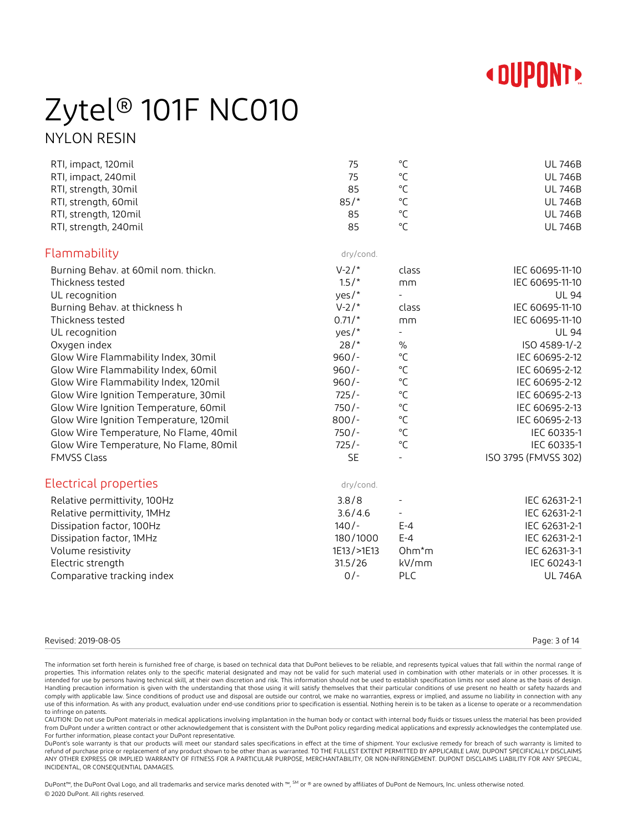

## Zytel® 101F NC010 NYLON RESIN

| RTI, impact, 120mil<br>RTI, impact, 240mil<br>RTI, strength, 30mil<br>RTI, strength, 60mil<br>RTI, strength, 120mil<br>RTI, strength, 240mil | 75<br>75<br>85<br>85/<br>85<br>85 | $^{\circ}$ C<br>$^{\circ}C$<br>$^{\circ}$ C<br>$^{\circ}$ C<br>$^{\circ}$ C<br>$^{\circ}$ C | <b>UL 746B</b><br><b>UL 746B</b><br><b>UL 746B</b><br><b>UL 746B</b><br><b>UL 746B</b><br><b>UL 746B</b> |
|----------------------------------------------------------------------------------------------------------------------------------------------|-----------------------------------|---------------------------------------------------------------------------------------------|----------------------------------------------------------------------------------------------------------|
| Flammability                                                                                                                                 | dry/cond.                         |                                                                                             |                                                                                                          |
| Burning Behav. at 60mil nom. thickn.                                                                                                         | $V-2/*$                           | class                                                                                       | IEC 60695-11-10                                                                                          |
| Thickness tested                                                                                                                             | $1.5/$ *                          | mm                                                                                          | IEC 60695-11-10                                                                                          |
| UL recognition                                                                                                                               | yes/*                             | $\blacksquare$                                                                              | <b>UL 94</b>                                                                                             |
| Burning Behav. at thickness h                                                                                                                | $V-2/*$                           | class                                                                                       | IEC 60695-11-10                                                                                          |
| Thickness tested                                                                                                                             | $0.71/*$                          | mm                                                                                          | IEC 60695-11-10                                                                                          |
| UL recognition                                                                                                                               | yes/*                             | $\overline{\phantom{a}}$                                                                    | <b>UL 94</b>                                                                                             |
| Oxygen index                                                                                                                                 | 28/                               | $\%$                                                                                        | ISO 4589-1/-2                                                                                            |
| Glow Wire Flammability Index, 30mil                                                                                                          | $960/-$                           | $^{\circ}$ C                                                                                | IEC 60695-2-12                                                                                           |
| Glow Wire Flammability Index, 60mil                                                                                                          | $960/-$                           | $^{\circ}$ C                                                                                | IEC 60695-2-12                                                                                           |
| Glow Wire Flammability Index, 120mil                                                                                                         | $960/-$                           | $^{\circ}$ C                                                                                | IEC 60695-2-12                                                                                           |
| Glow Wire Ignition Temperature, 30mil                                                                                                        | $725/-$                           | $^{\circ}$ C                                                                                | IEC 60695-2-13                                                                                           |
| Glow Wire Ignition Temperature, 60mil                                                                                                        | $750/-$                           | $^{\circ}$ C                                                                                | IEC 60695-2-13                                                                                           |
| Glow Wire Ignition Temperature, 120mil                                                                                                       | $800/-$                           | $^{\circ}$ C                                                                                | IEC 60695-2-13                                                                                           |
| Glow Wire Temperature, No Flame, 40mil                                                                                                       | $750/-$                           | $^{\circ}$ C                                                                                | IEC 60335-1                                                                                              |
| Glow Wire Temperature, No Flame, 80mil                                                                                                       | $725/-$                           | $^{\circ}$ C                                                                                | IEC 60335-1                                                                                              |
| <b>FMVSS Class</b>                                                                                                                           | <b>SE</b>                         |                                                                                             | ISO 3795 (FMVSS 302)                                                                                     |
| Electrical properties                                                                                                                        | dry/cond.                         |                                                                                             |                                                                                                          |
| Relative permittivity, 100Hz                                                                                                                 | 3.8/8                             |                                                                                             | IEC 62631-2-1                                                                                            |
| Relative permittivity, 1MHz                                                                                                                  | 3.6/4.6                           | $\blacksquare$                                                                              | IEC 62631-2-1                                                                                            |
| Dissipation factor, 100Hz                                                                                                                    | $140/-$                           | $E - 4$                                                                                     | IEC 62631-2-1                                                                                            |
| Dissipation factor, 1MHz                                                                                                                     | 180/1000                          | $E - 4$                                                                                     | IEC 62631-2-1                                                                                            |
| Volume resistivity                                                                                                                           | 1E13/>1E13                        | $Ohm*m$                                                                                     | IEC 62631-3-1                                                                                            |
| Electric strength                                                                                                                            | 31.5/26                           | kV/mm                                                                                       | IEC 60243-1                                                                                              |
| Comparative tracking index                                                                                                                   | $0/-$                             | <b>PLC</b>                                                                                  | <b>UL 746A</b>                                                                                           |

#### Revised: 2019-08-05 Page: 3 of 14

The information set forth herein is furnished free of charge, is based on technical data that DuPont believes to be reliable, and represents typical values that fall within the normal range of properties. This information relates only to the specific material designated and may not be valid for such material used in combination with other materials or in other processes. It is intended for use by persons having technical skill, at their own discretion and risk. This information should not be used to establish specification limits nor used alone as the basis of design. Handling precaution information is given with the understanding that those using it will satisfy themselves that their particular conditions of use present no health or safety hazards and comply with applicable law. Since conditions of product use and disposal are outside our control, we make no warranties, express or implied, and assume no liability in connection with any use of this information. As with any product, evaluation under end-use conditions prior to specification is essential. Nothing herein is to be taken as a license to operate or a recommendation to infringe on patents.

CAUTION: Do not use DuPont materials in medical applications involving implantation in the human body or contact with internal body fluids or tissues unless the material has been provided from DuPont under a written contract or other acknowledgement that is consistent with the DuPont policy regarding medical applications and expressly acknowledges the contemplated use. For further information, please contact your DuPont representative.

DuPont's sole warranty is that our products will meet our standard sales specifications in effect at the time of shipment. Your exclusive remedy for breach of such warranty is limited to refund of purchase price or replacement of any product shown to be other than as warranted. TO THE FULLEST EXTENT PERMITTED BY APPLICABLE LAW, DUPONT SPECIFICALLY DISCLAIMS ANY OTHER EXPRESS OR IMPLIED WARRANTY OF FITNESS FOR A PARTICULAR PURPOSE, MERCHANTABILITY, OR NON-INFRINGEMENT. DUPONT DISCLAIMS LIABILITY FOR ANY SPECIAL, INCIDENTAL, OR CONSEQUENTIAL DAMAGES.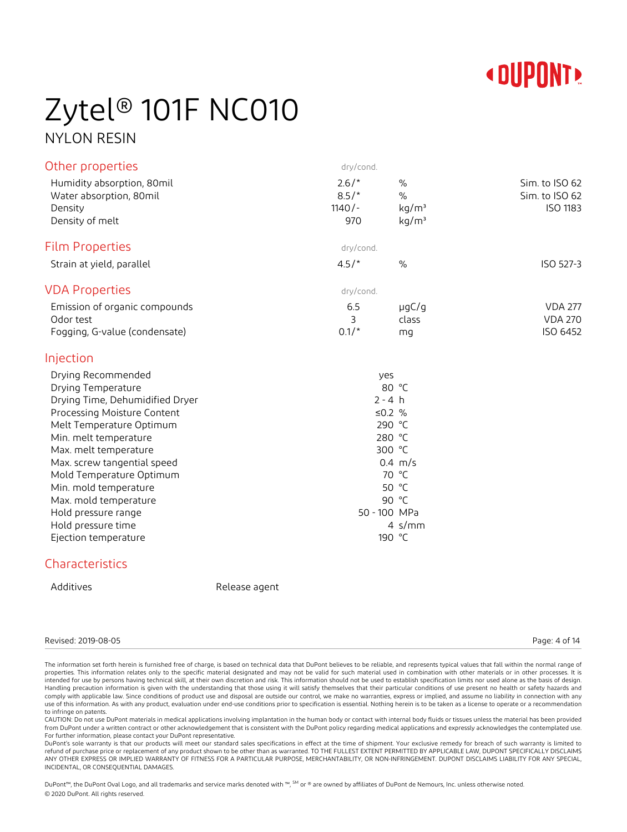

## Zytel® 101F NC010 NYLON RESIN

| Other properties                                                                                                                                                                                                                                                                                                                                                           | dry/cond.                             |                                                                                                                                                      |                                              |
|----------------------------------------------------------------------------------------------------------------------------------------------------------------------------------------------------------------------------------------------------------------------------------------------------------------------------------------------------------------------------|---------------------------------------|------------------------------------------------------------------------------------------------------------------------------------------------------|----------------------------------------------|
| Humidity absorption, 80mil<br>Water absorption, 80mil<br>Density<br>Density of melt                                                                                                                                                                                                                                                                                        | $2.6/*$<br>$8.5/*$<br>$1140/-$<br>970 | $\%$<br>$\%$<br>kg/m <sup>3</sup><br>kg/m <sup>3</sup>                                                                                               | Sim. to ISO 62<br>Sim. to ISO 62<br>ISO 1183 |
|                                                                                                                                                                                                                                                                                                                                                                            |                                       |                                                                                                                                                      |                                              |
| <b>Film Properties</b>                                                                                                                                                                                                                                                                                                                                                     | dry/cond.                             |                                                                                                                                                      |                                              |
| Strain at yield, parallel                                                                                                                                                                                                                                                                                                                                                  | 4.5/                                  | $\%$                                                                                                                                                 | ISO 527-3                                    |
| <b>VDA Properties</b>                                                                                                                                                                                                                                                                                                                                                      | dry/cond.                             |                                                                                                                                                      |                                              |
| Emission of organic compounds<br>Odor test<br>Fogging, G-value (condensate)                                                                                                                                                                                                                                                                                                | 6.5<br>3<br>$0.1/*$                   | $\mu$ g $C/g$<br>class<br>mq                                                                                                                         | <b>VDA 277</b><br><b>VDA 270</b><br>ISO 6452 |
| Injection                                                                                                                                                                                                                                                                                                                                                                  |                                       |                                                                                                                                                      |                                              |
| Drying Recommended<br>Drying Temperature<br>Drying Time, Dehumidified Dryer<br>Processing Moisture Content<br>Melt Temperature Optimum<br>Min. melt temperature<br>Max. melt temperature<br>Max. screw tangential speed<br>Mold Temperature Optimum<br>Min. mold temperature<br>Max. mold temperature<br>Hold pressure range<br>Hold pressure time<br>Ejection temperature |                                       | yes<br>80 °C<br>$2 - 4 h$<br>≤0.2 $%$<br>290 °C<br>280 °C<br>300 °C<br>$0.4 \, m/s$<br>70 °C<br>50 °C<br>90 °C<br>50 - 100 MPa<br>4 $s/mm$<br>190 °C |                                              |
| Characteristics                                                                                                                                                                                                                                                                                                                                                            |                                       |                                                                                                                                                      |                                              |

Additives **Release** agent

#### Revised: 2019-08-05 Page: 4 of 14

The information set forth herein is furnished free of charge, is based on technical data that DuPont believes to be reliable, and represents typical values that fall within the normal range of properties. This information relates only to the specific material designated and may not be valid for such material used in combination with other materials or in other processes. It is intended for use by persons having technical skill, at their own discretion and risk. This information should not be used to establish specification limits nor used alone as the basis of design. Handling precaution information is given with the understanding that those using it will satisfy themselves that their particular conditions of use present no health or safety hazards and comply with applicable law. Since conditions of product use and disposal are outside our control, we make no warranties, express or implied, and assume no liability in connection with any use of this information. As with any product, evaluation under end-use conditions prior to specification is essential. Nothing herein is to be taken as a license to operate or a recommendation to infringe on patents.

CAUTION: Do not use DuPont materials in medical applications involving implantation in the human body or contact with internal body fluids or tissues unless the material has been provided from DuPont under a written contract or other acknowledgement that is consistent with the DuPont policy regarding medical applications and expressly acknowledges the contemplated use. For further information, please contact your DuPont representative.

DuPont's sole warranty is that our products will meet our standard sales specifications in effect at the time of shipment. Your exclusive remedy for breach of such warranty is limited to refund of purchase price or replacement of any product shown to be other than as warranted. TO THE FULLEST EXTENT PERMITTED BY APPLICABLE LAW, DUPONT SPECIFICALLY DISCLAIMS ANY OTHER EXPRESS OR IMPLIED WARRANTY OF FITNESS FOR A PARTICULAR PURPOSE, MERCHANTABILITY, OR NON-INFRINGEMENT. DUPONT DISCLAIMS LIABILITY FOR ANY SPECIAL, INCIDENTAL, OR CONSEQUENTIAL DAMAGES.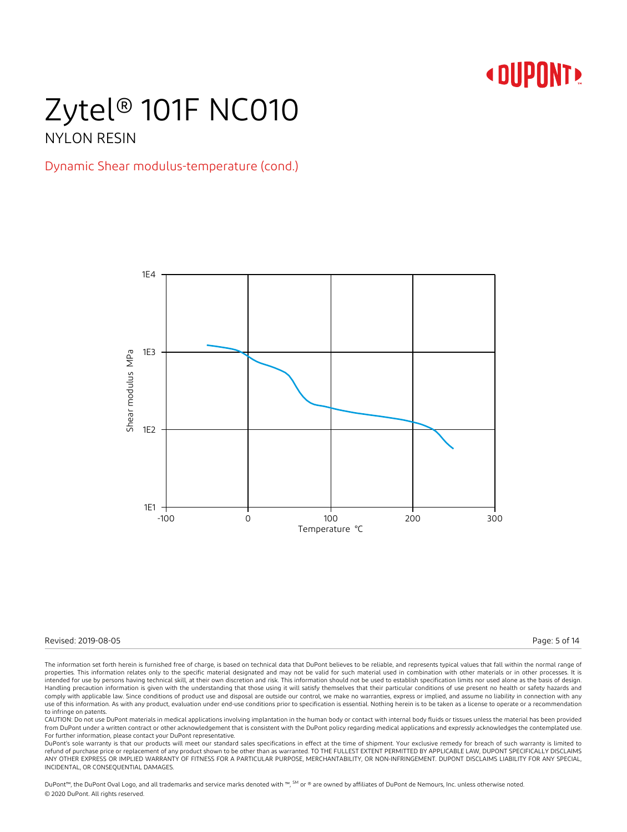### Zytel® 101F NC010 NYLON RESIN

### Dynamic Shear modulus-temperature (cond.)



Revised: 2019-08-05 Page: 5 of 14

The information set forth herein is furnished free of charge, is based on technical data that DuPont believes to be reliable, and represents typical values that fall within the normal range of properties. This information relates only to the specific material designated and may not be valid for such material used in combination with other materials or in other processes. It is intended for use by persons having technical skill, at their own discretion and risk. This information should not be used to establish specification limits nor used alone as the basis of design. Handling precaution information is given with the understanding that those using it will satisfy themselves that their particular conditions of use present no health or safety hazards and comply with applicable law. Since conditions of product use and disposal are outside our control, we make no warranties, express or implied, and assume no liability in connection with any use of this information. As with any product, evaluation under end-use conditions prior to specification is essential. Nothing herein is to be taken as a license to operate or a recommendation to infringe on patents.

CAUTION: Do not use DuPont materials in medical applications involving implantation in the human body or contact with internal body fluids or tissues unless the material has been provided from DuPont under a written contract or other acknowledgement that is consistent with the DuPont policy regarding medical applications and expressly acknowledges the contemplated use. For further information, please contact your DuPont representative.

DuPont's sole warranty is that our products will meet our standard sales specifications in effect at the time of shipment. Your exclusive remedy for breach of such warranty is limited to refund of purchase price or replacement of any product shown to be other than as warranted. TO THE FULLEST EXTENT PERMITTED BY APPLICABLE LAW, DUPONT SPECIFICALLY DISCLAIMS ANY OTHER EXPRESS OR IMPLIED WARRANTY OF FITNESS FOR A PARTICULAR PURPOSE, MERCHANTABILITY, OR NON-INFRINGEMENT. DUPONT DISCLAIMS LIABILITY FOR ANY SPECIAL, INCIDENTAL, OR CONSEQUENTIAL DAMAGES.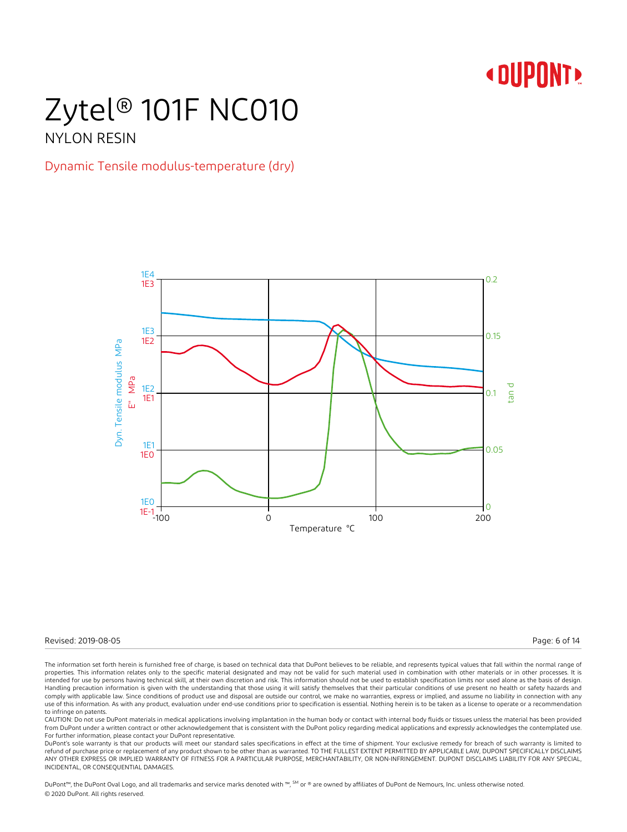# Zytel® 101F NC010

### NYLON RESIN

### Dynamic Tensile modulus-temperature (dry)



Revised: 2019-08-05 Page: 6 of 14

The information set forth herein is furnished free of charge, is based on technical data that DuPont believes to be reliable, and represents typical values that fall within the normal range of properties. This information relates only to the specific material designated and may not be valid for such material used in combination with other materials or in other processes. It is intended for use by persons having technical skill, at their own discretion and risk. This information should not be used to establish specification limits nor used alone as the basis of design. Handling precaution information is given with the understanding that those using it will satisfy themselves that their particular conditions of use present no health or safety hazards and comply with applicable law. Since conditions of product use and disposal are outside our control, we make no warranties, express or implied, and assume no liability in connection with any use of this information. As with any product, evaluation under end-use conditions prior to specification is essential. Nothing herein is to be taken as a license to operate or a recommendation to infringe on patents.

CAUTION: Do not use DuPont materials in medical applications involving implantation in the human body or contact with internal body fluids or tissues unless the material has been provided from DuPont under a written contract or other acknowledgement that is consistent with the DuPont policy regarding medical applications and expressly acknowledges the contemplated use. For further information, please contact your DuPont representative.

DuPont's sole warranty is that our products will meet our standard sales specifications in effect at the time of shipment. Your exclusive remedy for breach of such warranty is limited to refund of purchase price or replacement of any product shown to be other than as warranted. TO THE FULLEST EXTENT PERMITTED BY APPLICABLE LAW, DUPONT SPECIFICALLY DISCLAIMS ANY OTHER EXPRESS OR IMPLIED WARRANTY OF FITNESS FOR A PARTICULAR PURPOSE, MERCHANTABILITY, OR NON-INFRINGEMENT. DUPONT DISCLAIMS LIABILITY FOR ANY SPECIAL, INCIDENTAL, OR CONSEQUENTIAL DAMAGES.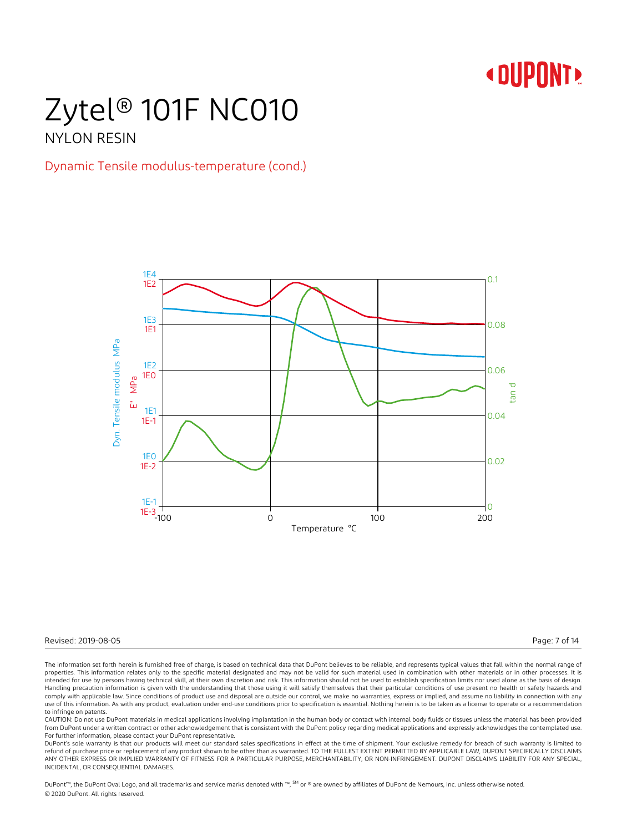### Zytel® 101F NC010 NYLON RESIN

### Dynamic Tensile modulus-temperature (cond.)



Revised: 2019-08-05 Page: 7 of 14

The information set forth herein is furnished free of charge, is based on technical data that DuPont believes to be reliable, and represents typical values that fall within the normal range of properties. This information relates only to the specific material designated and may not be valid for such material used in combination with other materials or in other processes. It is intended for use by persons having technical skill, at their own discretion and risk. This information should not be used to establish specification limits nor used alone as the basis of design. Handling precaution information is given with the understanding that those using it will satisfy themselves that their particular conditions of use present no health or safety hazards and comply with applicable law. Since conditions of product use and disposal are outside our control, we make no warranties, express or implied, and assume no liability in connection with any use of this information. As with any product, evaluation under end-use conditions prior to specification is essential. Nothing herein is to be taken as a license to operate or a recommendation to infringe on patents.

CAUTION: Do not use DuPont materials in medical applications involving implantation in the human body or contact with internal body fluids or tissues unless the material has been provided from DuPont under a written contract or other acknowledgement that is consistent with the DuPont policy regarding medical applications and expressly acknowledges the contemplated use. For further information, please contact your DuPont representative.

DuPont's sole warranty is that our products will meet our standard sales specifications in effect at the time of shipment. Your exclusive remedy for breach of such warranty is limited to refund of purchase price or replacement of any product shown to be other than as warranted. TO THE FULLEST EXTENT PERMITTED BY APPLICABLE LAW, DUPONT SPECIFICALLY DISCLAIMS ANY OTHER EXPRESS OR IMPLIED WARRANTY OF FITNESS FOR A PARTICULAR PURPOSE, MERCHANTABILITY, OR NON-INFRINGEMENT. DUPONT DISCLAIMS LIABILITY FOR ANY SPECIAL, INCIDENTAL, OR CONSEQUENTIAL DAMAGES.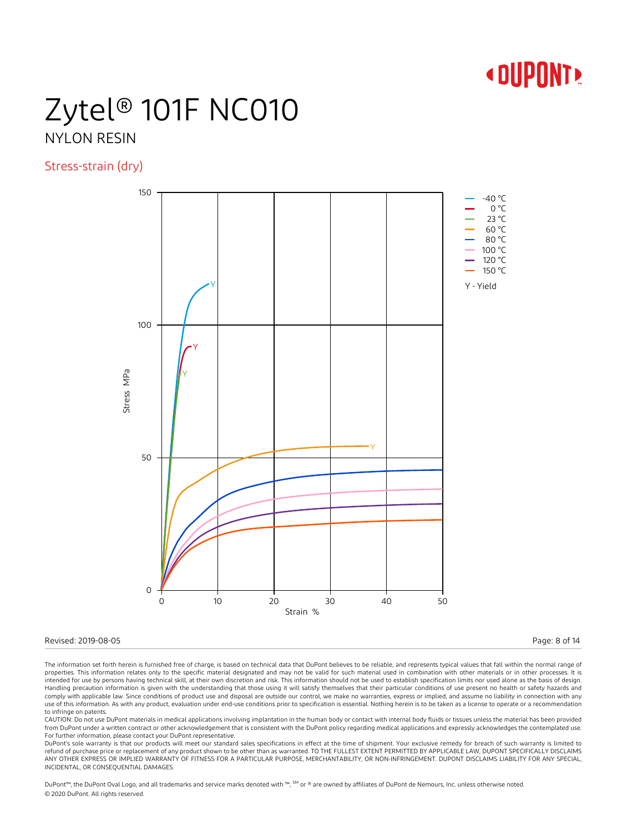# Zytel® 101F NC010

### NYLON RESIN

Stress-strain (dry)



#### Revised: 2019-08-05 Page: 8 of 14

The information set forth herein is furnished free of charge, is based on technical data that DuPont believes to be reliable, and represents typical values that fall within the normal range of properties. This information relates only to the specific material designated and may not be valid for such material used in combination with other materials or in other processes. It is intended for use by persons having technical skill, at their own discretion and risk. This information should not be used to establish specification limits nor used alone as the basis of design. Handling precaution information is given with the understanding that those using it will satisfy themselves that their particular conditions of use present no health or safety hazards and comply with applicable law. Since conditions of product use and disposal are outside our control, we make no warranties, express or implied, and assume no liability in connection with any use of this information. As with any product, evaluation under end-use conditions prior to specification is essential. Nothing herein is to be taken as a license to operate or a recommendation to infringe on patents.

CAUTION: Do not use DuPont materials in medical applications involving implantation in the human body or contact with internal body fluids or tissues unless the material has been provided from DuPont under a written contract or other acknowledgement that is consistent with the DuPont policy regarding medical applications and expressly acknowledges the contemplated use. For further information, please contact your DuPont representative.

DuPont's sole warranty is that our products will meet our standard sales specifications in effect at the time of shipment. Your exclusive remedy for breach of such warranty is limited to refund of purchase price or replacement of any product shown to be other than as warranted. TO THE FULLEST EXTENT PERMITTED BY APPLICABLE LAW, DUPONT SPECIFICALLY DISCLAIMS ANY OTHER EXPRESS OR IMPLIED WARRANTY OF FITNESS FOR A PARTICULAR PURPOSE, MERCHANTABILITY, OR NON-INFRINGEMENT. DUPONT DISCLAIMS LIABILITY FOR ANY SPECIAL, INCIDENTAL, OR CONSEQUENTIAL DAMAGES.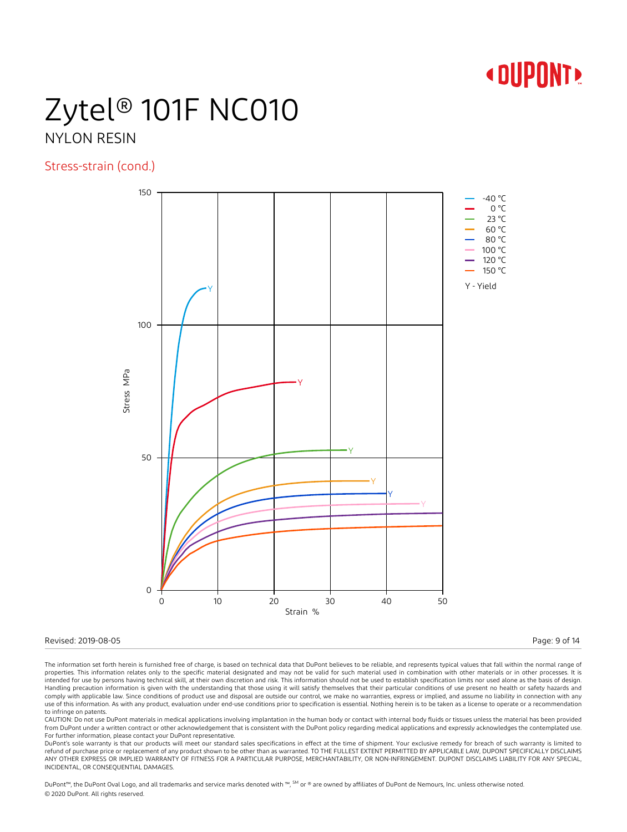## Zytel® 101F NC010 NYLON RESIN

### Stress-strain (cond.)



#### Revised: 2019-08-05 Page: 9 of 14

The information set forth herein is furnished free of charge, is based on technical data that DuPont believes to be reliable, and represents typical values that fall within the normal range of properties. This information relates only to the specific material designated and may not be valid for such material used in combination with other materials or in other processes. It is intended for use by persons having technical skill, at their own discretion and risk. This information should not be used to establish specification limits nor used alone as the basis of design. Handling precaution information is given with the understanding that those using it will satisfy themselves that their particular conditions of use present no health or safety hazards and comply with applicable law. Since conditions of product use and disposal are outside our control, we make no warranties, express or implied, and assume no liability in connection with any use of this information. As with any product, evaluation under end-use conditions prior to specification is essential. Nothing herein is to be taken as a license to operate or a recommendation to infringe on patents.

CAUTION: Do not use DuPont materials in medical applications involving implantation in the human body or contact with internal body fluids or tissues unless the material has been provided from DuPont under a written contract or other acknowledgement that is consistent with the DuPont policy regarding medical applications and expressly acknowledges the contemplated use. For further information, please contact your DuPont representative.

DuPont's sole warranty is that our products will meet our standard sales specifications in effect at the time of shipment. Your exclusive remedy for breach of such warranty is limited to refund of purchase price or replacement of any product shown to be other than as warranted. TO THE FULLEST EXTENT PERMITTED BY APPLICABLE LAW, DUPONT SPECIFICALLY DISCLAIMS ANY OTHER EXPRESS OR IMPLIED WARRANTY OF FITNESS FOR A PARTICULAR PURPOSE, MERCHANTABILITY, OR NON-INFRINGEMENT. DUPONT DISCLAIMS LIABILITY FOR ANY SPECIAL, INCIDENTAL, OR CONSEQUENTIAL DAMAGES.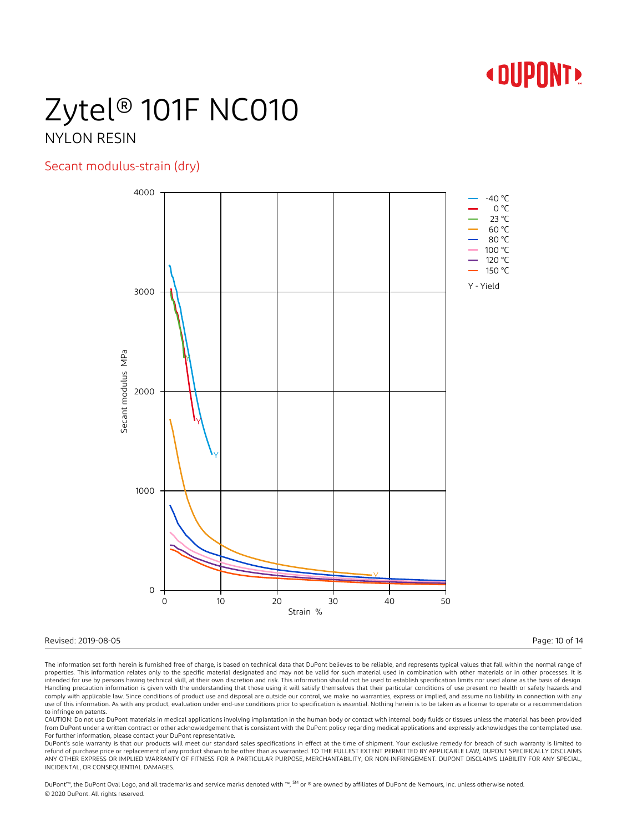## Zytel® 101F NC010 NYLON RESIN

### Secant modulus-strain (dry)



#### Revised: 2019-08-05 Page: 10 of 14

The information set forth herein is furnished free of charge, is based on technical data that DuPont believes to be reliable, and represents typical values that fall within the normal range of properties. This information relates only to the specific material designated and may not be valid for such material used in combination with other materials or in other processes. It is intended for use by persons having technical skill, at their own discretion and risk. This information should not be used to establish specification limits nor used alone as the basis of design. Handling precaution information is given with the understanding that those using it will satisfy themselves that their particular conditions of use present no health or safety hazards and comply with applicable law. Since conditions of product use and disposal are outside our control, we make no warranties, express or implied, and assume no liability in connection with any use of this information. As with any product, evaluation under end-use conditions prior to specification is essential. Nothing herein is to be taken as a license to operate or a recommendation to infringe on patents.

CAUTION: Do not use DuPont materials in medical applications involving implantation in the human body or contact with internal body fluids or tissues unless the material has been provided from DuPont under a written contract or other acknowledgement that is consistent with the DuPont policy regarding medical applications and expressly acknowledges the contemplated use. For further information, please contact your DuPont representative.

DuPont's sole warranty is that our products will meet our standard sales specifications in effect at the time of shipment. Your exclusive remedy for breach of such warranty is limited to refund of purchase price or replacement of any product shown to be other than as warranted. TO THE FULLEST EXTENT PERMITTED BY APPLICABLE LAW, DUPONT SPECIFICALLY DISCLAIMS ANY OTHER EXPRESS OR IMPLIED WARRANTY OF FITNESS FOR A PARTICULAR PURPOSE, MERCHANTABILITY, OR NON-INFRINGEMENT. DUPONT DISCLAIMS LIABILITY FOR ANY SPECIAL, INCIDENTAL, OR CONSEQUENTIAL DAMAGES.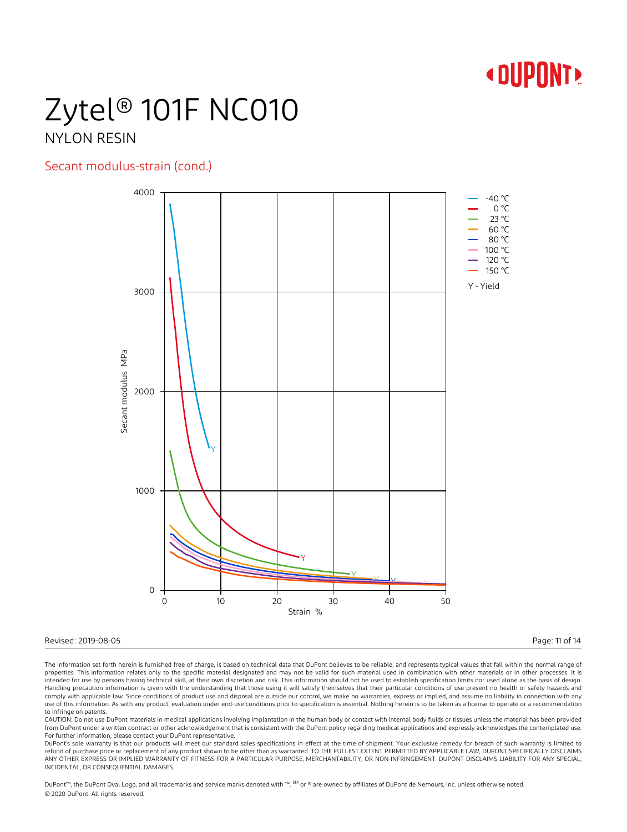## Zytel® 101F NC010 NYLON RESIN

### Secant modulus-strain (cond.)



#### Revised: 2019-08-05 Page: 11 of 14

The information set forth herein is furnished free of charge, is based on technical data that DuPont believes to be reliable, and represents typical values that fall within the normal range of properties. This information relates only to the specific material designated and may not be valid for such material used in combination with other materials or in other processes. It is intended for use by persons having technical skill, at their own discretion and risk. This information should not be used to establish specification limits nor used alone as the basis of design. Handling precaution information is given with the understanding that those using it will satisfy themselves that their particular conditions of use present no health or safety hazards and comply with applicable law. Since conditions of product use and disposal are outside our control, we make no warranties, express or implied, and assume no liability in connection with any use of this information. As with any product, evaluation under end-use conditions prior to specification is essential. Nothing herein is to be taken as a license to operate or a recommendation to infringe on patents.

CAUTION: Do not use DuPont materials in medical applications involving implantation in the human body or contact with internal body fluids or tissues unless the material has been provided from DuPont under a written contract or other acknowledgement that is consistent with the DuPont policy regarding medical applications and expressly acknowledges the contemplated use. For further information, please contact your DuPont representative.

DuPont's sole warranty is that our products will meet our standard sales specifications in effect at the time of shipment. Your exclusive remedy for breach of such warranty is limited to refund of purchase price or replacement of any product shown to be other than as warranted. TO THE FULLEST EXTENT PERMITTED BY APPLICABLE LAW, DUPONT SPECIFICALLY DISCLAIMS ANY OTHER EXPRESS OR IMPLIED WARRANTY OF FITNESS FOR A PARTICULAR PURPOSE, MERCHANTABILITY, OR NON-INFRINGEMENT. DUPONT DISCLAIMS LIABILITY FOR ANY SPECIAL, INCIDENTAL, OR CONSEQUENTIAL DAMAGES.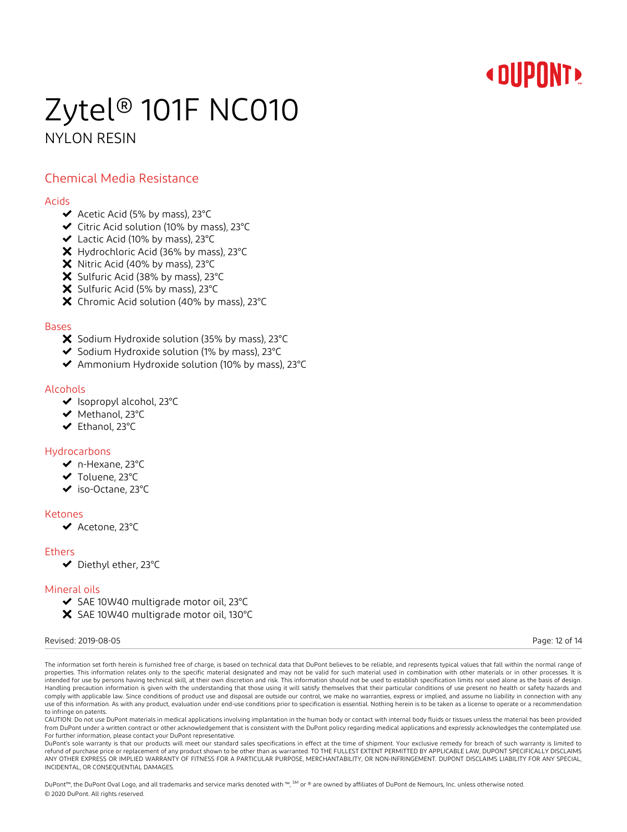## Zytel® 101F NC010 NYLON RESIN

### Chemical Media Resistance

#### Acids

- $\blacktriangleright$  Acetic Acid (5% by mass), 23°C
- Citric Acid solution (10% by mass), 23°C
- Lactic Acid (10% by mass), 23°C
- X Hydrochloric Acid (36% by mass), 23°C
- X Nitric Acid (40% by mass), 23°C
- X Sulfuric Acid (38% by mass), 23°C
- $\boldsymbol{\times}$  Sulfuric Acid (5% by mass), 23°C
- X Chromic Acid solution (40% by mass), 23°C

#### Bases

- X Sodium Hydroxide solution (35% by mass), 23°C
- $\blacktriangleright$  Sodium Hydroxide solution (1% by mass), 23 $^{\circ}$ C
- Ammonium Hydroxide solution (10% by mass), 23°C

#### Alcohols

- ◆ Isopropyl alcohol, 23°C
- ◆ Methanol, 23°C
- Ethanol, 23°C

#### Hydrocarbons

- n-Hexane, 23°C
- Toluene, 23°C
- iso-Octane, 23°C

#### Ketones

◆ Acetone, 23°C

#### **Ethers**

Diethyl ether, 23°C

#### Mineral oils

- ◆ SAE 10W40 multigrade motor oil, 23°C
- X SAE 10W40 multigrade motor oil, 130°C

#### Revised: 2019-08-05 Page: 12 of 14

The information set forth herein is furnished free of charge, is based on technical data that DuPont believes to be reliable, and represents typical values that fall within the normal range of properties. This information relates only to the specific material designated and may not be valid for such material used in combination with other materials or in other processes. It is intended for use by persons having technical skill, at their own discretion and risk. This information should not be used to establish specification limits nor used alone as the basis of design. Handling precaution information is given with the understanding that those using it will satisfy themselves that their particular conditions of use present no health or safety hazards and comply with applicable law. Since conditions of product use and disposal are outside our control, we make no warranties, express or implied, and assume no liability in connection with any use of this information. As with any product, evaluation under end-use conditions prior to specification is essential. Nothing herein is to be taken as a license to operate or a recommendation to infringe on patents

CAUTION: Do not use DuPont materials in medical applications involving implantation in the human body or contact with internal body fluids or tissues unless the material has been provided from DuPont under a written contract or other acknowledgement that is consistent with the DuPont policy regarding medical applications and expressly acknowledges the contemplated use. For further information, please contact your DuPont representative.

DuPont's sole warranty is that our products will meet our standard sales specifications in effect at the time of shipment. Your exclusive remedy for breach of such warranty is limited to refund of purchase price or replacement of any product shown to be other than as warranted. TO THE FULLEST EXTENT PERMITTED BY APPLICABLE LAW, DUPONT SPECIFICALLY DISCLAIMS ANY OTHER EXPRESS OR IMPLIED WARRANTY OF FITNESS FOR A PARTICULAR PURPOSE, MERCHANTABILITY, OR NON-INFRINGEMENT. DUPONT DISCLAIMS LIABILITY FOR ANY SPECIAL, INCIDENTAL, OR CONSEQUENTIAL DAMAGES.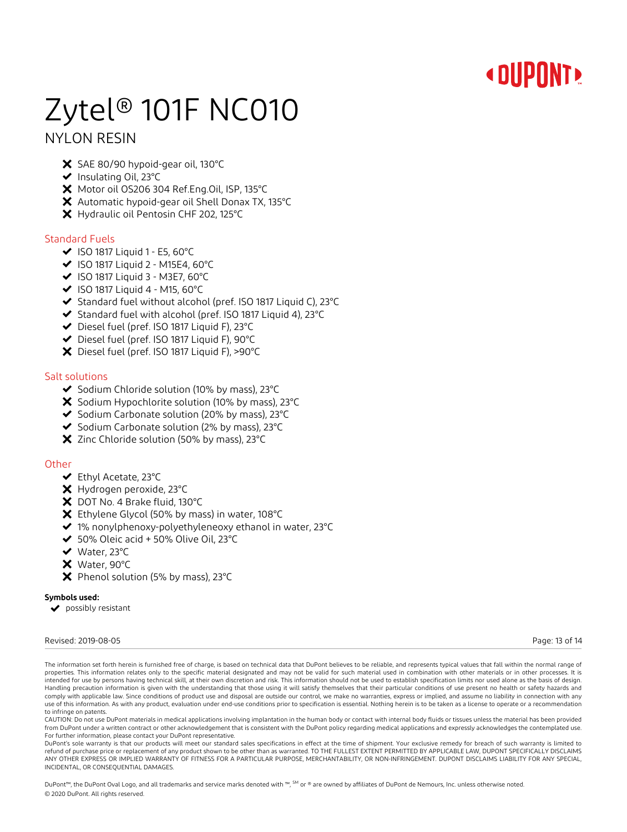# Zytel® 101F NC010

### NYLON RESIN

- X SAE 80/90 hypoid-gear oil, 130°C
- ◆ Insulating Oil, 23°C
- X Motor oil OS206 304 Ref.Eng.Oil, ISP, 135°C
- Automatic hypoid-gear oil Shell Donax TX, 135°C
- X Hydraulic oil Pentosin CHF 202, 125°C

#### Standard Fuels

- $\blacktriangleright$  ISO 1817 Liquid 1 E5, 60°C
- $\blacktriangleright$  ISO 1817 Liquid 2 M15E4, 60°C
- $\blacktriangleright$  ISO 1817 Liquid 3 M3E7, 60°C
- $\blacktriangleright$  ISO 1817 Liquid 4 M15, 60°C
- ◆ Standard fuel without alcohol (pref. ISO 1817 Liquid C), 23°C
- Standard fuel with alcohol (pref. ISO 1817 Liquid 4), 23°C
- ◆ Diesel fuel (pref. ISO 1817 Liquid F), 23°C
- Diesel fuel (pref. ISO 1817 Liquid F), 90°C
- Diesel fuel (pref. ISO 1817 Liquid F), >90°C

#### Salt solutions

- ◆ Sodium Chloride solution (10% by mass), 23°C
- $\boldsymbol{\times}$  Sodium Hypochlorite solution (10% by mass), 23°C
- ◆ Sodium Carbonate solution (20% by mass), 23°C
- ◆ Sodium Carbonate solution (2% by mass), 23°C
- $\boldsymbol{\times}$  Zinc Chloride solution (50% by mass), 23°C

#### **Other**

- Ethyl Acetate, 23°C
- Hydrogen peroxide, 23°C
- X DOT No. 4 Brake fluid, 130°C
- Ethylene Glycol (50% by mass) in water, 108°C
- ◆ 1% nonylphenoxy-polyethyleneoxy ethanol in water, 23°C
- ◆ 50% Oleic acid + 50% Olive Oil, 23°C
- ◆ Water, 23°C
- Water, 90°C
- $\boldsymbol{\times}$  Phenol solution (5% by mass), 23°C

#### **Symbols used:**

◆ possibly resistant

#### Revised: 2019-08-05 Page: 13 of 14

The information set forth herein is furnished free of charge, is based on technical data that DuPont believes to be reliable, and represents typical values that fall within the normal range of properties. This information relates only to the specific material designated and may not be valid for such material used in combination with other materials or in other processes. It is intended for use by persons having technical skill, at their own discretion and risk. This information should not be used to establish specification limits nor used alone as the basis of design. Handling precaution information is given with the understanding that those using it will satisfy themselves that their particular conditions of use present no health or safety hazards and comply with applicable law. Since conditions of product use and disposal are outside our control, we make no warranties, express or implied, and assume no liability in connection with any use of this information. As with any product, evaluation under end-use conditions prior to specification is essential. Nothing herein is to be taken as a license to operate or a recommendation to infringe on patents

CAUTION: Do not use DuPont materials in medical applications involving implantation in the human body or contact with internal body fluids or tissues unless the material has been provided from DuPont under a written contract or other acknowledgement that is consistent with the DuPont policy regarding medical applications and expressly acknowledges the contemplated use. For further information, please contact your DuPont representative.

DuPont's sole warranty is that our products will meet our standard sales specifications in effect at the time of shipment. Your exclusive remedy for breach of such warranty is limited to refund of purchase price or replacement of any product shown to be other than as warranted. TO THE FULLEST EXTENT PERMITTED BY APPLICABLE LAW, DUPONT SPECIFICALLY DISCLAIMS ANY OTHER EXPRESS OR IMPLIED WARRANTY OF FITNESS FOR A PARTICULAR PURPOSE, MERCHANTABILITY, OR NON-INFRINGEMENT. DUPONT DISCLAIMS LIABILITY FOR ANY SPECIAL, INCIDENTAL, OR CONSEQUENTIAL DAMAGES.